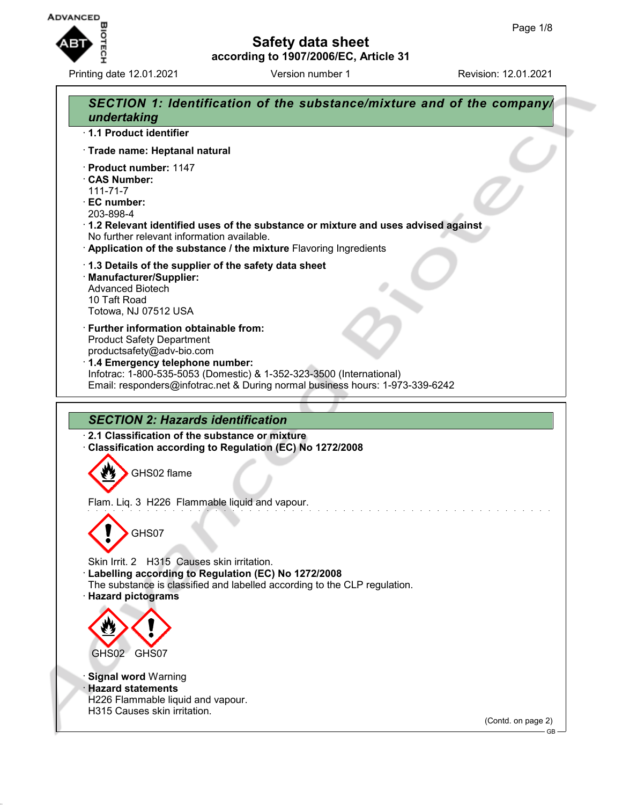

Printing date 12.01.2021 **Version number 1** Revision: 12.01.2021

## **Safety data sheet according to 1907/2006/EC, Article 31**

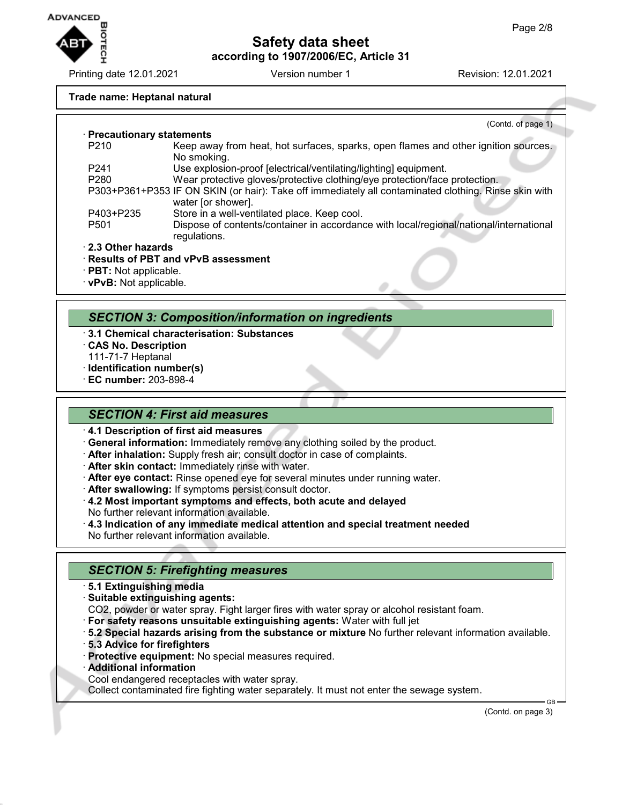

Printing date 12.01.2021 Version number 1 Revision: 12.01.2021

#### **Trade name: Heptanal natural**

(Contd. of page 1) · **Precautionary statements** Keep away from heat, hot surfaces, sparks, open flames and other ignition sources. No smoking. P241 Use explosion-proof [electrical/ventilating/lighting] equipment. P280 Wear protective gloves/protective clothing/eye protection/face protection. P303+P361+P353 IF ON SKIN (or hair): Take off immediately all contaminated clothing. Rinse skin with water [or shower]. P403+P235 Store in a well-ventilated place. Keep cool. P501 Dispose of contents/container in accordance with local/regional/national/international regulations. · **2.3 Other hazards** · **Results of PBT and vPvB assessment**

- · **PBT:** Not applicable.
- · **vPvB:** Not applicable.

#### *SECTION 3: Composition/information on ingredients*

- · **3.1 Chemical characterisation: Substances**
- · **CAS No. Description**
- 111-71-7 Heptanal
- · **Identification number(s)**
- · **EC number:** 203-898-4

#### *SECTION 4: First aid measures*

- · **4.1 Description of first aid measures**
- · **General information:** Immediately remove any clothing soiled by the product.
- · **After inhalation:** Supply fresh air; consult doctor in case of complaints.
- · **After skin contact:** Immediately rinse with water.
- · **After eye contact:** Rinse opened eye for several minutes under running water.
- · **After swallowing:** If symptoms persist consult doctor.
- · **4.2 Most important symptoms and effects, both acute and delayed** No further relevant information available.
- · **4.3 Indication of any immediate medical attention and special treatment needed** No further relevant information available.

### *SECTION 5: Firefighting measures*

- · **5.1 Extinguishing media**
- · **Suitable extinguishing agents:**
- CO2, powder or water spray. Fight larger fires with water spray or alcohol resistant foam.
- · **For safety reasons unsuitable extinguishing agents:** Water with full jet
- · **5.2 Special hazards arising from the substance or mixture** No further relevant information available.
- · **5.3 Advice for firefighters**
- · **Protective equipment:** No special measures required.
- · **Additional information**
- Cool endangered receptacles with water spray.

Collect contaminated fire fighting water separately. It must not enter the sewage system.

(Contd. on page 3)

GB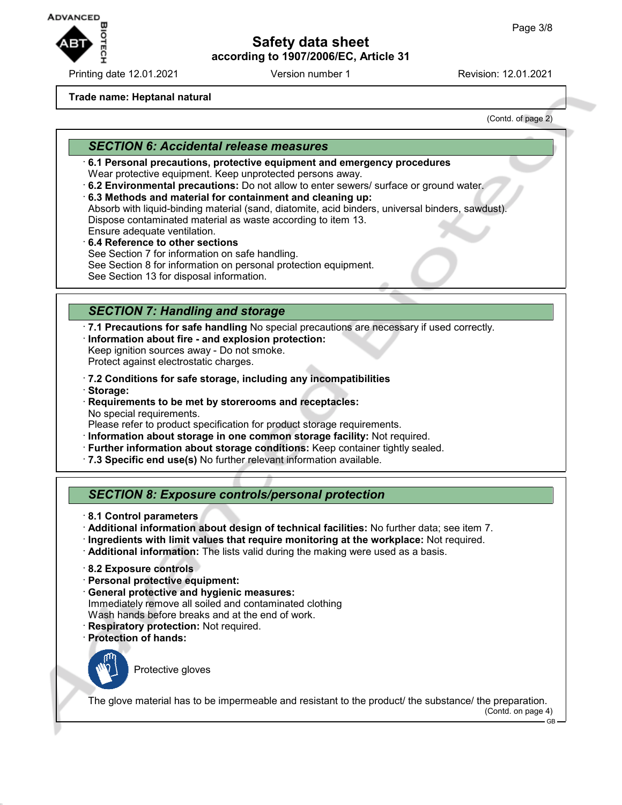

Printing date 12.01.2021 **Version number 1** Revision: 12.01.2021

**Trade name: Heptanal natural**

(Contd. of page 2)

#### *SECTION 6: Accidental release measures*

- · **6.1 Personal precautions, protective equipment and emergency procedures** Wear protective equipment. Keep unprotected persons away.
- · **6.2 Environmental precautions:** Do not allow to enter sewers/ surface or ground water.
- · **6.3 Methods and material for containment and cleaning up:** Absorb with liquid-binding material (sand, diatomite, acid binders, universal binders, sawdust). Dispose contaminated material as waste according to item 13. Ensure adequate ventilation.
- · **6.4 Reference to other sections** See Section 7 for information on safe handling. See Section 8 for information on personal protection equipment. See Section 13 for disposal information.

## *SECTION 7: Handling and storage*

· **7.1 Precautions for safe handling** No special precautions are necessary if used correctly. · **Information about fire - and explosion protection:** Keep ignition sources away - Do not smoke.

Protect against electrostatic charges.

- · **7.2 Conditions for safe storage, including any incompatibilities**
- · **Storage:**
- · **Requirements to be met by storerooms and receptacles:** No special requirements.

Please refer to product specification for product storage requirements.

- · **Information about storage in one common storage facility:** Not required.
- · **Further information about storage conditions:** Keep container tightly sealed.
- · **7.3 Specific end use(s)** No further relevant information available.

### *SECTION 8: Exposure controls/personal protection*

- · **8.1 Control parameters**
- · **Additional information about design of technical facilities:** No further data; see item 7.
- · **Ingredients with limit values that require monitoring at the workplace:** Not required.
- · **Additional information:** The lists valid during the making were used as a basis.
- · **8.2 Exposure controls**
- · **Personal protective equipment:**
- · **General protective and hygienic measures:** Immediately remove all soiled and contaminated clothing Wash hands before breaks and at the end of work.
- · **Respiratory protection:** Not required.
- · **Protection of hands:**



Protective gloves

The glove material has to be impermeable and resistant to the product/ the substance/ the preparation.

(Contd. on page 4)

GB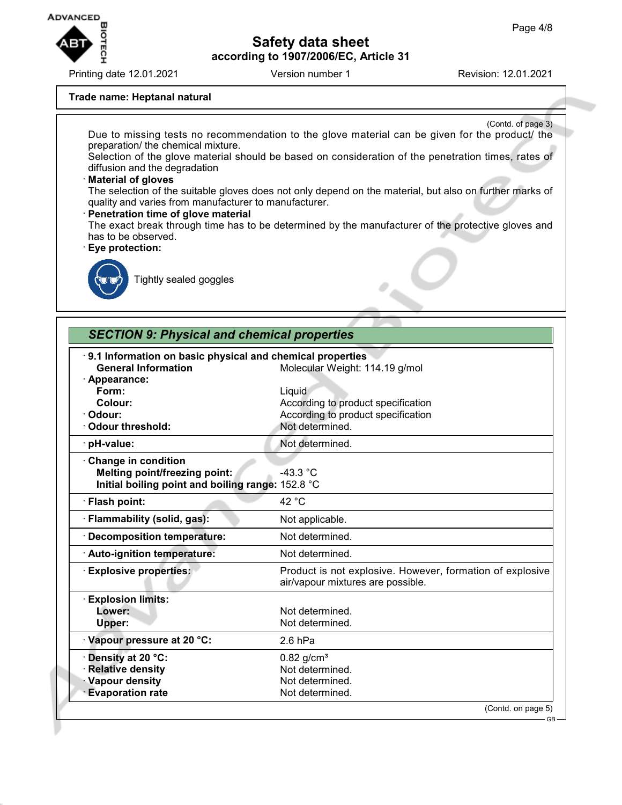

Printing date 12.01.2021 **Version number 1** Revision: 12.01.2021

#### **Trade name: Heptanal natural**

(Contd. of page 3) Due to missing tests no recommendation to the glove material can be given for the product/ the preparation/ the chemical mixture. Selection of the glove material should be based on consideration of the penetration times, rates of diffusion and the degradation · **Material of gloves** The selection of the suitable gloves does not only depend on the material, but also on further marks of quality and varies from manufacturer to manufacturer. · **Penetration time of glove material** The exact break through time has to be determined by the manufacturer of the protective gloves and has to be observed. · **Eye protection:**



Tightly sealed goggles

# *SECTION 9: Physical and chemical properties*

| 9.1 Information on basic physical and chemical properties<br><b>General Information</b> | Molecular Weight: 114.19 g/mol                                                                 |
|-----------------------------------------------------------------------------------------|------------------------------------------------------------------------------------------------|
| Appearance:                                                                             |                                                                                                |
| Form:                                                                                   | Liquid                                                                                         |
| Colour:                                                                                 | According to product specification                                                             |
| Odour:                                                                                  | According to product specification                                                             |
| <b>Odour threshold:</b>                                                                 | Not determined.                                                                                |
| pH-value:                                                                               | Not determined.                                                                                |
| <b>Change in condition</b>                                                              |                                                                                                |
| Melting point/freezing point:                                                           | $-43.3 °C$                                                                                     |
| Initial boiling point and boiling range: 152.8 °C                                       |                                                                                                |
| · Flash point:                                                                          | 42 °C                                                                                          |
| · Flammability (solid, gas):                                                            | Not applicable.                                                                                |
| <b>Decomposition temperature:</b>                                                       | Not determined.                                                                                |
| Auto-ignition temperature:                                                              | Not determined.                                                                                |
| <b>Explosive properties:</b>                                                            | Product is not explosive. However, formation of explosive<br>air/vapour mixtures are possible. |
| <b>Explosion limits:</b>                                                                |                                                                                                |
| Lower:                                                                                  | Not determined.                                                                                |
| Upper:                                                                                  | Not determined.                                                                                |
| · Vapour pressure at 20 °C:                                                             | $2.6$ hPa                                                                                      |
| Density at 20 °C:                                                                       | $0.82$ g/cm <sup>3</sup>                                                                       |
| <b>Relative density</b>                                                                 | Not determined.                                                                                |
| <b>Vapour density</b>                                                                   | Not determined.                                                                                |
| <b>Evaporation rate</b>                                                                 | Not determined.                                                                                |
|                                                                                         | (Contd. on page 5)                                                                             |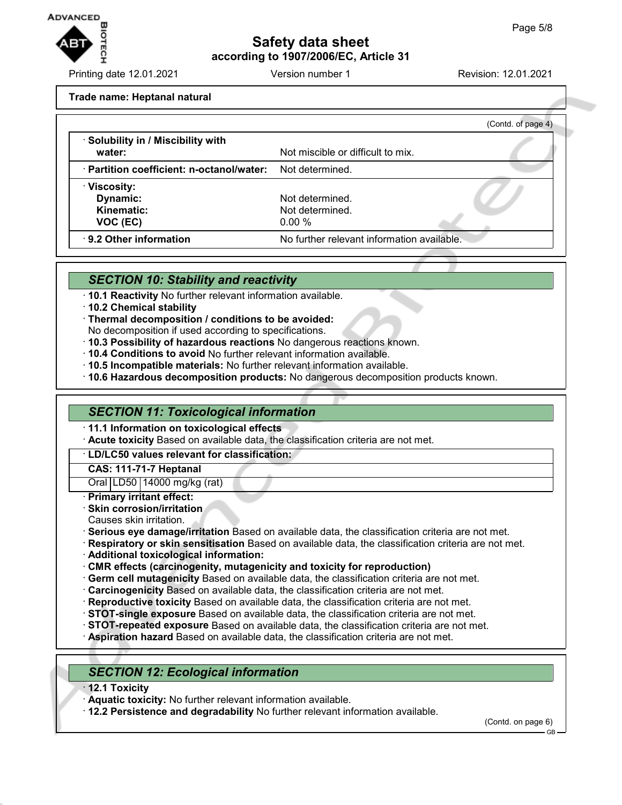

Printing date 12.01.2021 Version number 1 Revision: 12.01.2021

**Trade name: Heptanal natural**

|                                                           | (Contd. of page 4)                         |  |
|-----------------------------------------------------------|--------------------------------------------|--|
| · Solubility in / Miscibility with<br>water:              | Not miscible or difficult to mix.          |  |
| · Partition coefficient: n-octanol/water: Not determined. |                                            |  |
| · Viscosity:                                              |                                            |  |
| Dynamic:                                                  | Not determined.                            |  |
| <b>Kinematic:</b>                                         | Not determined.                            |  |
| VOC (EC)                                                  | $0.00 \%$                                  |  |
| 9.2 Other information                                     | No further relevant information available. |  |

#### *SECTION 10: Stability and reactivity*

- · **10.1 Reactivity** No further relevant information available.
- · **10.2 Chemical stability**
- · **Thermal decomposition / conditions to be avoided:**
- No decomposition if used according to specifications.
- · **10.3 Possibility of hazardous reactions** No dangerous reactions known.
- · **10.4 Conditions to avoid** No further relevant information available.
- · **10.5 Incompatible materials:** No further relevant information available.
- · **10.6 Hazardous decomposition products:** No dangerous decomposition products known.

#### *SECTION 11: Toxicological information*

· **11.1 Information on toxicological effects**

· **Acute toxicity** Based on available data, the classification criteria are not met.

#### · **LD/LC50 values relevant for classification:**

**CAS: 111-71-7 Heptanal**

Oral LD50 14000 mg/kg (rat)

- · **Primary irritant effect:**
- · **Skin corrosion/irritation**
- Causes skin irritation.
- · **Serious eye damage/irritation** Based on available data, the classification criteria are not met.
- · **Respiratory or skin sensitisation** Based on available data, the classification criteria are not met.
- · **Additional toxicological information:**
- · **CMR effects (carcinogenity, mutagenicity and toxicity for reproduction)**
- · **Germ cell mutagenicity** Based on available data, the classification criteria are not met.
- · **Carcinogenicity** Based on available data, the classification criteria are not met.
- · **Reproductive toxicity** Based on available data, the classification criteria are not met.
- · **STOT-single exposure** Based on available data, the classification criteria are not met.
- · **STOT-repeated exposure** Based on available data, the classification criteria are not met.
- · **Aspiration hazard** Based on available data, the classification criteria are not met.

### *SECTION 12: Ecological information*

- · **12.1 Toxicity**
- · **Aquatic toxicity:** No further relevant information available.
- · **12.2 Persistence and degradability** No further relevant information available.

(Contd. on page 6)

GB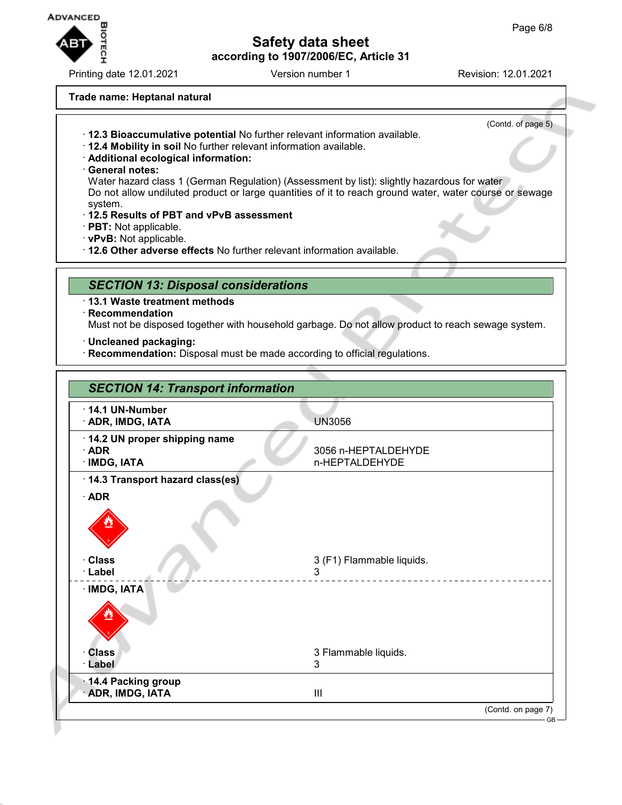

Printing date 12.01.2021 **Version number 1** Revision: 12.01.2021

(Contd. of page 5)

#### **Trade name: Heptanal natural**

- · **12.3 Bioaccumulative potential** No further relevant information available.
- · **12.4 Mobility in soil** No further relevant information available.
- · **Additional ecological information:**
- · **General notes:**

Water hazard class 1 (German Regulation) (Assessment by list): slightly hazardous for water Do not allow undiluted product or large quantities of it to reach ground water, water course or sewage system.

- · **12.5 Results of PBT and vPvB assessment**
- · **PBT:** Not applicable.
- · **vPvB:** Not applicable.
- · **12.6 Other adverse effects** No further relevant information available.

#### *SECTION 13: Disposal considerations*

- · **13.1 Waste treatment methods**
- · **Recommendation**

Must not be disposed together with household garbage. Do not allow product to reach sewage system.

· **Uncleaned packaging:**

· **Recommendation:** Disposal must be made according to official regulations.

| $\cdot$ 14.1 UN-Number          |                                |  |
|---------------------------------|--------------------------------|--|
| · ADR, IMDG, IATA               | <b>UN3056</b>                  |  |
| 14.2 UN proper shipping name    |                                |  |
| $\cdot$ ADR                     | 3056 n-HEPTALDEHYDE            |  |
| · IMDG, IATA                    | n-HEPTALDEHYDE                 |  |
| 14.3 Transport hazard class(es) |                                |  |
| $\cdot$ ADR                     |                                |  |
|                                 |                                |  |
| · Class<br>· Label              | 3 (F1) Flammable liquids.<br>3 |  |
| · IMDG, IATA                    |                                |  |
|                                 |                                |  |
| <b>Class</b>                    | 3 Flammable liquids.           |  |
| · Label                         | 3                              |  |
| 14.4 Packing group              |                                |  |
| · ADR, IMDG, IATA               | III                            |  |
|                                 | (Contd. on page 7)             |  |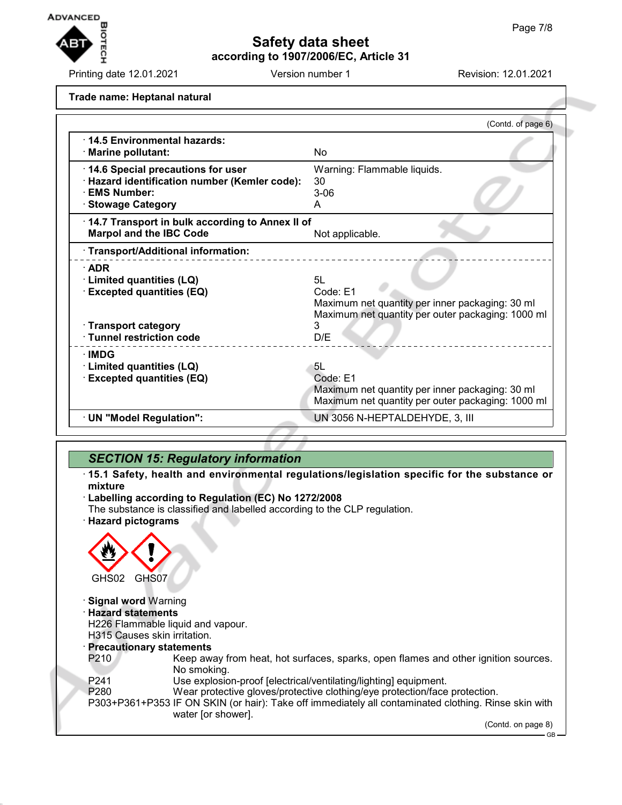

Printing date 12.01.2021 **Version number 1** Revision: 12.01.2021

**Trade name: Heptanal natural**

|                                                                                                                                     | (Contd. of page 6)                                                                                                          |
|-------------------------------------------------------------------------------------------------------------------------------------|-----------------------------------------------------------------------------------------------------------------------------|
| ⋅14.5 Environmental hazards:<br>· Marine pollutant:                                                                                 | No                                                                                                                          |
| 14.6 Special precautions for user<br>· Hazard identification number (Kemler code):<br><b>EMS Number:</b><br><b>Stowage Category</b> | Warning: Flammable liquids.<br>30<br>$3-06$<br>A                                                                            |
| 14.7 Transport in bulk according to Annex II of<br><b>Marpol and the IBC Code</b>                                                   | Not applicable.                                                                                                             |
| · Transport/Additional information:                                                                                                 |                                                                                                                             |
| $\cdot$ ADR<br><b>Limited quantities (LQ)</b><br><b>Excepted quantities (EQ)</b><br>· Transport category                            | 5L<br>Code: E1<br>Maximum net quantity per inner packaging: 30 ml<br>Maximum net quantity per outer packaging: 1000 ml<br>3 |
| · Tunnel restriction code                                                                                                           | D/E                                                                                                                         |
| ∙IMDG<br>· Limited quantities (LQ)<br><b>Excepted quantities (EQ)</b>                                                               | 5L<br>Code: E1<br>Maximum net quantity per inner packaging: 30 ml<br>Maximum net quantity per outer packaging: 1000 ml      |
| · UN "Model Regulation":                                                                                                            | UN 3056 N-HEPTALDEHYDE, 3, III                                                                                              |

## *SECTION 15: Regulatory information*

- · **15.1 Safety, health and environmental regulations/legislation specific for the substance or mixture**
- · **Labelling according to Regulation (EC) No 1272/2008**

The substance is classified and labelled according to the CLP regulation. · **Hazard pictograms**

GHS02 GHS07 · **Signal word** Warning · **Hazard statements** H226 Flammable liquid and vapour. H315 Causes skin irritation. · **Precautionary statements** P210 Keep away from heat, hot surfaces, sparks, open flames and other ignition sources. No smoking. P241 Use explosion-proof [electrical/ventilating/lighting] equipment. P280 Wear protective gloves/protective clothing/eye protection/face protection. P303+P361+P353 IF ON SKIN (or hair): Take off immediately all contaminated clothing. Rinse skin with water [or shower]. (Contd. on page 8) GB